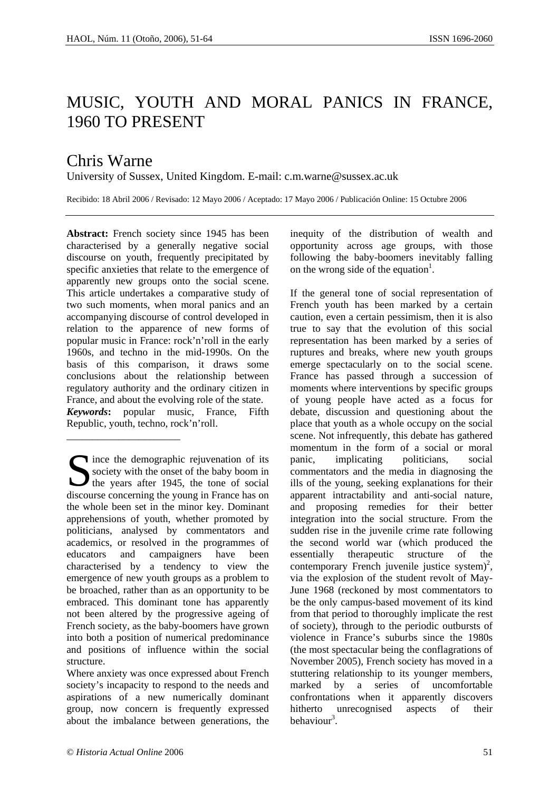## MUSIC, YOUTH AND MORAL PANICS IN FRANCE, 1960 TO PRESENT

## Chris Warne

University of Sussex, United Kingdom. E-mail: c.m.warne@sussex.ac.uk

Recibido: 18 Abril 2006 / Revisado: 12 Mayo 2006 / Aceptado: 17 Mayo 2006 / Publicación Online: 15 Octubre 2006

**Abstract:** French society since 1945 has been characterised by a generally negative social discourse on youth, frequently precipitated by specific anxieties that relate to the emergence of apparently new groups onto the social scene. This article undertakes a comparative study of two such moments, when moral panics and an accompanying discourse of control developed in relation to the apparence of new forms of popular music in France: rock'n'roll in the early 1960s, and techno in the mid-1990s. On the basis of this comparison, it draws some conclusions about the relationship between regulatory authority and the ordinary citizen in France, and about the evolving role of the state. *Keywords***:** popular music, France, Fifth Republic, youth, techno, rock'n'roll. \_\_\_\_\_\_\_\_\_\_\_\_\_\_\_\_\_\_\_\_\_\_

Since the demographic rejuvenation of its<br>
society with the onset of the baby boom in<br>
the years after 1945, the tone of social<br>
discourse concerning the young in France has on society with the onset of the baby boom in the years after 1945, the tone of social discourse concerning the young in France has on the whole been set in the minor key. Dominant apprehensions of youth, whether promoted by politicians, analysed by commentators and academics, or resolved in the programmes of educators and campaigners have been characterised by a tendency to view the emergence of new youth groups as a problem to be broached, rather than as an opportunity to be embraced. This dominant tone has apparently not been altered by the progressive ageing of French society, as the baby-boomers have grown into both a position of numerical predominance and positions of influence within the social structure.

Where anxiety was once expressed about French society's incapacity to respond to the needs and aspirations of a new numerically dominant group, now concern is frequently expressed about the imbalance between generations, the inequity of the distribution of wealth and opportunity across age groups, with those following the baby-boomers inevitably falling on the wrong side of the equation<sup>1</sup>.

If the general tone of social representation of French youth has been marked by a certain caution, even a certain pessimism, then it is also true to say that the evolution of this social representation has been marked by a series of ruptures and breaks, where new youth groups emerge spectacularly on to the social scene. France has passed through a succession of moments where interventions by specific groups of young people have acted as a focus for debate, discussion and questioning about the place that youth as a whole occupy on the social scene. Not infrequently, this debate has gathered momentum in the form of a social or moral panic, implicating politicians, social commentators and the media in diagnosing the ills of the young, seeking explanations for their apparent intractability and anti-social nature, and proposing remedies for their better integration into the social structure. From the sudden rise in the juvenile crime rate following the second world war (which produced the essentially therapeutic structure of the contemporary French juvenile justice system)<sup>2</sup>, via the explosion of the student revolt of May-June 1968 (reckoned by most commentators to be the only campus-based movement of its kind from that period to thoroughly implicate the rest of society), through to the periodic outbursts of violence in France's suburbs since the 1980s (the most spectacular being the conflagrations of November 2005), French society has moved in a stuttering relationship to its younger members, marked by a series of uncomfortable confrontations when it apparently discovers hitherto unrecognised aspects of their behaviour<sup>3</sup>.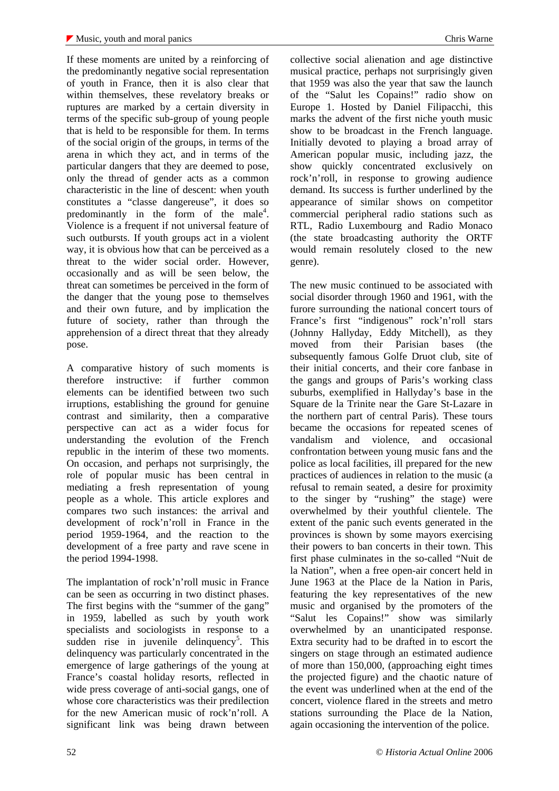If these moments are united by a reinforcing of the predominantly negative social representation of youth in France, then it is also clear that within themselves, these revelatory breaks or ruptures are marked by a certain diversity in terms of the specific sub-group of young people that is held to be responsible for them. In terms of the social origin of the groups, in terms of the arena in which they act, and in terms of the particular dangers that they are deemed to pose, only the thread of gender acts as a common characteristic in the line of descent: when youth constitutes a "classe dangereuse", it does so predominantly in the form of the male<sup>4</sup>. Violence is a frequent if not universal feature of such outbursts. If youth groups act in a violent way, it is obvious how that can be perceived as a threat to the wider social order. However, occasionally and as will be seen below, the threat can sometimes be perceived in the form of the danger that the young pose to themselves and their own future, and by implication the future of society, rather than through the apprehension of a direct threat that they already pose.

A comparative history of such moments is therefore instructive: if further common elements can be identified between two such irruptions, establishing the ground for genuine contrast and similarity, then a comparative perspective can act as a wider focus for understanding the evolution of the French republic in the interim of these two moments. On occasion, and perhaps not surprisingly, the role of popular music has been central in mediating a fresh representation of young people as a whole. This article explores and compares two such instances: the arrival and development of rock'n'roll in France in the period 1959-1964, and the reaction to the development of a free party and rave scene in the period 1994-1998.

The implantation of rock'n'roll music in France can be seen as occurring in two distinct phases. The first begins with the "summer of the gang" in 1959, labelled as such by youth work specialists and sociologists in response to a sudden rise in juvenile delinquency<sup>5</sup>. This delinquency was particularly concentrated in the emergence of large gatherings of the young at France's coastal holiday resorts, reflected in wide press coverage of anti-social gangs, one of whose core characteristics was their predilection for the new American music of rock'n'roll. A significant link was being drawn between

collective social alienation and age distinctive musical practice, perhaps not surprisingly given that 1959 was also the year that saw the launch of the "Salut les Copains!" radio show on Europe 1. Hosted by Daniel Filipacchi, this marks the advent of the first niche youth music show to be broadcast in the French language. Initially devoted to playing a broad array of American popular music, including jazz, the show quickly concentrated exclusively on rock'n'roll, in response to growing audience demand. Its success is further underlined by the appearance of similar shows on competitor commercial peripheral radio stations such as RTL, Radio Luxembourg and Radio Monaco (the state broadcasting authority the ORTF would remain resolutely closed to the new genre).

The new music continued to be associated with social disorder through 1960 and 1961, with the furore surrounding the national concert tours of France's first "indigenous" rock'n'roll stars (Johnny Hallyday, Eddy Mitchell), as they moved from their Parisian bases (the subsequently famous Golfe Druot club, site of their initial concerts, and their core fanbase in the gangs and groups of Paris's working class suburbs, exemplified in Hallyday's base in the Square de la Trinite near the Gare St-Lazare in the northern part of central Paris). These tours became the occasions for repeated scenes of vandalism and violence, and occasional confrontation between young music fans and the police as local facilities, ill prepared for the new practices of audiences in relation to the music (a refusal to remain seated, a desire for proximity to the singer by "rushing" the stage) were overwhelmed by their youthful clientele. The extent of the panic such events generated in the provinces is shown by some mayors exercising their powers to ban concerts in their town. This first phase culminates in the so-called "Nuit de la Nation", when a free open-air concert held in June 1963 at the Place de la Nation in Paris, featuring the key representatives of the new music and organised by the promoters of the "Salut les Copains!" show was similarly overwhelmed by an unanticipated response. Extra security had to be drafted in to escort the singers on stage through an estimated audience of more than 150,000, (approaching eight times the projected figure) and the chaotic nature of the event was underlined when at the end of the concert, violence flared in the streets and metro stations surrounding the Place de la Nation, again occasioning the intervention of the police.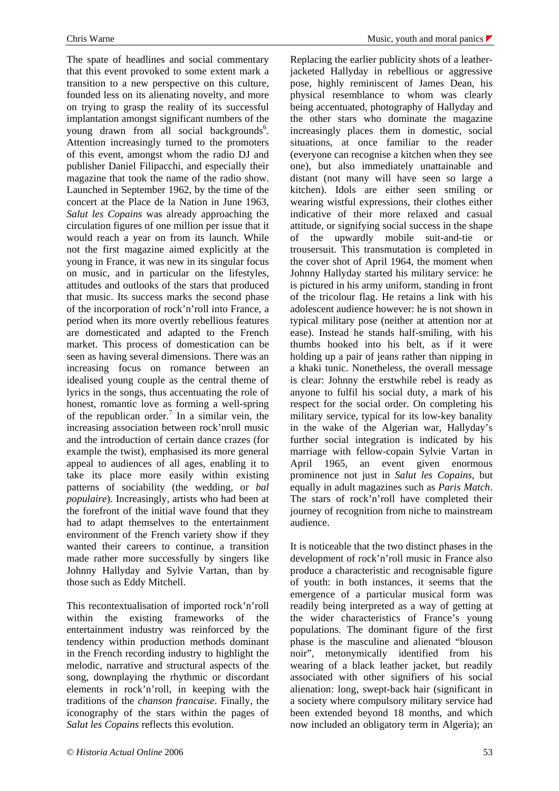The spate of headlines and social commentary that this event provoked to some extent mark a transition to a new perspective on this culture, founded less on its alienating novelty, and more on trying to grasp the reality of its successful implantation amongst significant numbers of the young drawn from all social backgrounds<sup>6</sup>. Attention increasingly turned to the promoters of this event, amongst whom the radio DJ and publisher Daniel Filipacchi, and especially their magazine that took the name of the radio show. Launched in September 1962, by the time of the concert at the Place de la Nation in June 1963, *Salut les Copains* was already approaching the circulation figures of one million per issue that it would reach a year on from its launch. While not the first magazine aimed explicitly at the young in France, it was new in its singular focus on music, and in particular on the lifestyles, attitudes and outlooks of the stars that produced that music. Its success marks the second phase of the incorporation of rock'n'roll into France, a period when its more overtly rebellious features are domesticated and adapted to the French market. This process of domestication can be seen as having several dimensions. There was an increasing focus on romance between an idealised young couple as the central theme of lyrics in the songs, thus accentuating the role of honest, romantic love as forming a well-spring of the republican order.<sup>7</sup> In a similar vein, the increasing association between rock'nroll music and the introduction of certain dance crazes (for example the twist), emphasised its more general appeal to audiences of all ages, enabling it to take its place more easily within existing patterns of sociability (the wedding, or *bal populaire*). Increasingly, artists who had been at the forefront of the initial wave found that they had to adapt themselves to the entertainment environment of the French variety show if they wanted their careers to continue, a transition made rather more successfully by singers like Johnny Hallyday and Sylvie Vartan, than by those such as Eddy Mitchell.

This recontextualisation of imported rock'n'roll within the existing frameworks of the entertainment industry was reinforced by the tendency within production methods dominant in the French recording industry to highlight the melodic, narrative and structural aspects of the song, downplaying the rhythmic or discordant elements in rock'n'roll, in keeping with the traditions of the *chanson francaise*. Finally, the iconography of the stars within the pages of *Salut les Copains* reflects this evolution.

Replacing the earlier publicity shots of a leatherjacketed Hallyday in rebellious or aggressive pose, highly reminiscent of James Dean, his physical resemblance to whom was clearly being accentuated, photography of Hallyday and the other stars who dominate the magazine increasingly places them in domestic, social situations, at once familiar to the reader (everyone can recognise a kitchen when they see one), but also immediately unattainable and distant (not many will have seen so large a kitchen). Idols are either seen smiling or wearing wistful expressions, their clothes either indicative of their more relaxed and casual attitude, or signifying social success in the shape of the upwardly mobile suit-and-tie or trousersuit. This transmutation is completed in the cover shot of April 1964, the moment when Johnny Hallyday started his military service: he is pictured in his army uniform, standing in front of the tricolour flag. He retains a link with his adolescent audience however: he is not shown in typical military pose (neither at attention nor at ease). Instead he stands half-smiling, with his thumbs hooked into his belt, as if it were holding up a pair of jeans rather than nipping in a khaki tunic. Nonetheless, the overall message is clear: Johnny the erstwhile rebel is ready as anyone to fulfil his social duty, a mark of his respect for the social order. On completing his military service, typical for its low-key banality in the wake of the Algerian war, Hallyday's further social integration is indicated by his marriage with fellow-copain Sylvie Vartan in April 1965, an event given enormous prominence not just in *Salut les Copains*, but equally in adult magazines such as *Paris Match*. The stars of rock'n'roll have completed their journey of recognition from niche to mainstream audience.

It is noticeable that the two distinct phases in the development of rock'n'roll music in France also produce a characteristic and recognisable figure of youth: in both instances, it seems that the emergence of a particular musical form was readily being interpreted as a way of getting at the wider characteristics of France's young populations. The dominant figure of the first phase is the masculine and alienated "blouson noir", metonymically identified from his wearing of a black leather jacket, but readily associated with other signifiers of his social alienation: long, swept-back hair (significant in a society where compulsory military service had been extended beyond 18 months, and which now included an obligatory term in Algeria); an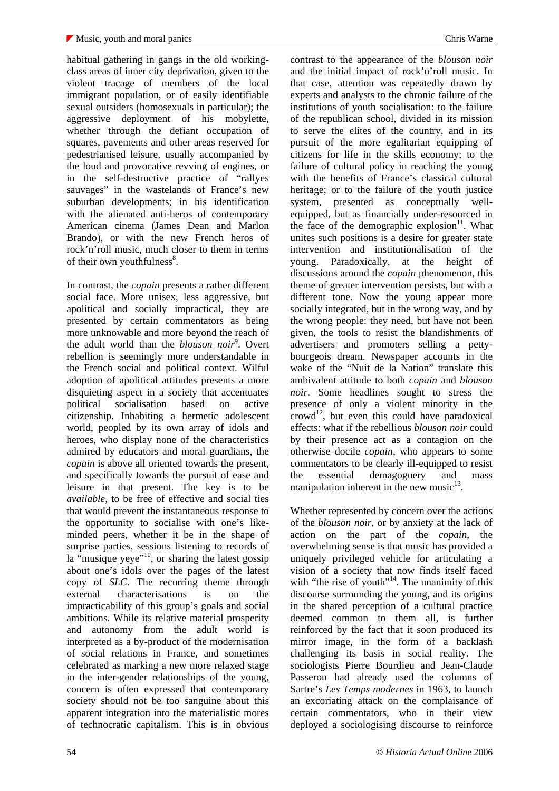habitual gathering in gangs in the old workingclass areas of inner city deprivation, given to the violent tracage of members of the local immigrant population, or of easily identifiable sexual outsiders (homosexuals in particular); the aggressive deployment of his mobylette, whether through the defiant occupation of squares, pavements and other areas reserved for pedestrianised leisure, usually accompanied by the loud and provocative revving of engines, or in the self-destructive practice of "rallyes sauvages" in the wastelands of France's new suburban developments; in his identification with the alienated anti-heros of contemporary American cinema (James Dean and Marlon Brando), or with the new French heros of rock'n'roll music, much closer to them in terms of their own youthfulness<sup>8</sup>.

In contrast, the *copain* presents a rather different social face. More unisex, less aggressive, but apolitical and socially impractical, they are presented by certain commentators as being more unknowable and more beyond the reach of the adult world than the *blouson noir*<sup>9</sup>. Overt rebellion is seemingly more understandable in the French social and political context. Wilful adoption of apolitical attitudes presents a more disquieting aspect in a society that accentuates political socialisation based on active citizenship. Inhabiting a hermetic adolescent world, peopled by its own array of idols and heroes, who display none of the characteristics admired by educators and moral guardians, the *copain* is above all oriented towards the present, and specifically towards the pursuit of ease and leisure in that present. The key is to be *available*, to be free of effective and social ties that would prevent the instantaneous response to the opportunity to socialise with one's likeminded peers, whether it be in the shape of surprise parties, sessions listening to records of la "musique yeye"<sup>10</sup>, or sharing the latest gossip about one's idols over the pages of the latest copy of *SLC*. The recurring theme through external characterisations is on the impracticability of this group's goals and social ambitions. While its relative material prosperity and autonomy from the adult world is interpreted as a by-product of the modernisation of social relations in France, and sometimes celebrated as marking a new more relaxed stage in the inter-gender relationships of the young, concern is often expressed that contemporary society should not be too sanguine about this apparent integration into the materialistic mores of technocratic capitalism. This is in obvious

contrast to the appearance of the *blouson noir* and the initial impact of rock'n'roll music. In that case, attention was repeatedly drawn by experts and analysts to the chronic failure of the institutions of youth socialisation: to the failure of the republican school, divided in its mission to serve the elites of the country, and in its pursuit of the more egalitarian equipping of citizens for life in the skills economy; to the failure of cultural policy in reaching the young with the benefits of France's classical cultural heritage; or to the failure of the youth justice system, presented as conceptually wellequipped, but as financially under-resourced in the face of the demographic explosion $11$ . What unites such positions is a desire for greater state intervention and institutionalisation of the young. Paradoxically, at the height of discussions around the *copain* phenomenon, this theme of greater intervention persists, but with a different tone. Now the young appear more socially integrated, but in the wrong way, and by the wrong people: they need, but have not been given, the tools to resist the blandishments of advertisers and promoters selling a pettybourgeois dream. Newspaper accounts in the wake of the "Nuit de la Nation" translate this ambivalent attitude to both *copain* and *blouson noir*. Some headlines sought to stress the presence of only a violent minority in the  $\text{crowd}^{12}$ , but even this could have paradoxical effects: what if the rebellious *blouson noir* could by their presence act as a contagion on the otherwise docile *copain*, who appears to some commentators to be clearly ill-equipped to resist the essential demagoguery and mass manipulation inherent in the new music $^{13}$ .

Whether represented by concern over the actions of the *blouson noir*, or by anxiety at the lack of action on the part of the *copain*, the overwhelming sense is that music has provided a uniquely privileged vehicle for articulating a vision of a society that now finds itself faced with "the rise of youth"<sup>14</sup>. The unanimity of this discourse surrounding the young, and its origins in the shared perception of a cultural practice deemed common to them all, is further reinforced by the fact that it soon produced its mirror image, in the form of a backlash challenging its basis in social reality. The sociologists Pierre Bourdieu and Jean-Claude Passeron had already used the columns of Sartre's *Les Temps modernes* in 1963, to launch an excoriating attack on the complaisance of certain commentators, who in their view deployed a sociologising discourse to reinforce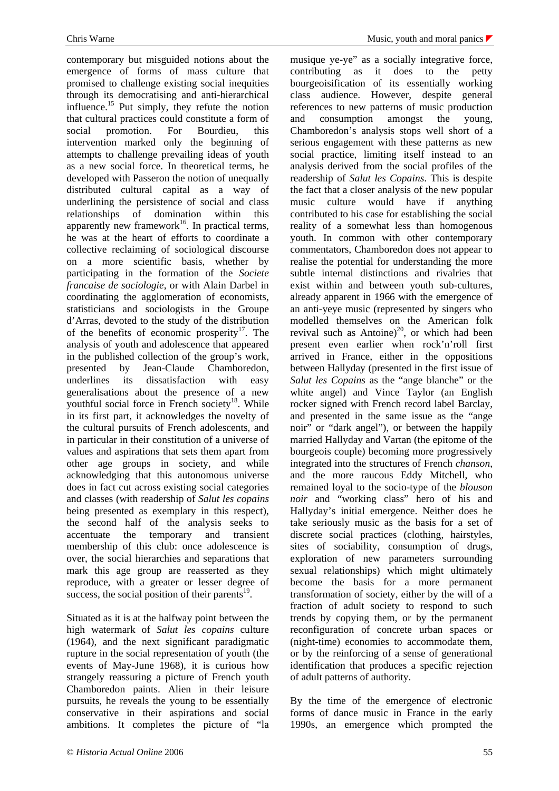contemporary but misguided notions about the emergence of forms of mass culture that promised to challenge existing social inequities through its democratising and anti-hierarchical influence.<sup>15</sup> Put simply, they refute the notion that cultural practices could constitute a form of social promotion. For Bourdieu, this intervention marked only the beginning of attempts to challenge prevailing ideas of youth as a new social force. In theoretical terms, he developed with Passeron the notion of unequally distributed cultural capital as a way of underlining the persistence of social and class relationships of domination within this apparently new framework<sup>16</sup>. In practical terms, he was at the heart of efforts to coordinate a collective reclaiming of sociological discourse on a more scientific basis, whether by participating in the formation of the *Societe francaise de sociologie*, or with Alain Darbel in coordinating the agglomeration of economists, statisticians and sociologists in the Groupe d'Arras, devoted to the study of the distribution of the benefits of economic prosperity<sup>17</sup>. The analysis of youth and adolescence that appeared in the published collection of the group's work, presented by Jean-Claude Chamboredon, underlines its dissatisfaction with easy generalisations about the presence of a new youthful social force in French society<sup>18</sup>. While in its first part, it acknowledges the novelty of the cultural pursuits of French adolescents, and in particular in their constitution of a universe of values and aspirations that sets them apart from other age groups in society, and while acknowledging that this autonomous universe does in fact cut across existing social categories and classes (with readership of *Salut les copains* being presented as exemplary in this respect), the second half of the analysis seeks to accentuate the temporary and transient membership of this club: once adolescence is over, the social hierarchies and separations that mark this age group are reasserted as they reproduce, with a greater or lesser degree of success, the social position of their parents $^{19}$ .

Situated as it is at the halfway point between the high watermark of *Salut les copains* culture (1964), and the next significant paradigmatic rupture in the social representation of youth (the events of May-June 1968), it is curious how strangely reassuring a picture of French youth Chamboredon paints. Alien in their leisure pursuits, he reveals the young to be essentially conservative in their aspirations and social ambitions. It completes the picture of "la

musique ye-ye" as a socially integrative force, contributing as it does to the petty bourgeoisification of its essentially working class audience. However, despite general references to new patterns of music production and consumption amongst the young, Chamboredon's analysis stops well short of a serious engagement with these patterns as new social practice, limiting itself instead to an analysis derived from the social profiles of the readership of *Salut les Copains*. This is despite the fact that a closer analysis of the new popular music culture would have if anything contributed to his case for establishing the social reality of a somewhat less than homogenous youth. In common with other contemporary commentators, Chamboredon does not appear to realise the potential for understanding the more subtle internal distinctions and rivalries that exist within and between youth sub-cultures, already apparent in 1966 with the emergence of an anti-yeye music (represented by singers who modelled themselves on the American folk revival such as Antoine) $^{20}$ , or which had been present even earlier when rock'n'roll first arrived in France, either in the oppositions between Hallyday (presented in the first issue of *Salut les Copains* as the "ange blanche" or the white angel) and Vince Taylor (an English rocker signed with French record label Barclay, and presented in the same issue as the "ange noir" or "dark angel"), or between the happily married Hallyday and Vartan (the epitome of the bourgeois couple) becoming more progressively integrated into the structures of French *chanson*, and the more raucous Eddy Mitchell, who remained loyal to the socio-type of the *blouson noir* and "working class" hero of his and Hallyday's initial emergence. Neither does he take seriously music as the basis for a set of discrete social practices (clothing, hairstyles, sites of sociability, consumption of drugs, exploration of new parameters surrounding sexual relationships) which might ultimately become the basis for a more permanent transformation of society, either by the will of a fraction of adult society to respond to such trends by copying them, or by the permanent reconfiguration of concrete urban spaces or (night-time) economies to accommodate them, or by the reinforcing of a sense of generational identification that produces a specific rejection of adult patterns of authority.

By the time of the emergence of electronic forms of dance music in France in the early 1990s, an emergence which prompted the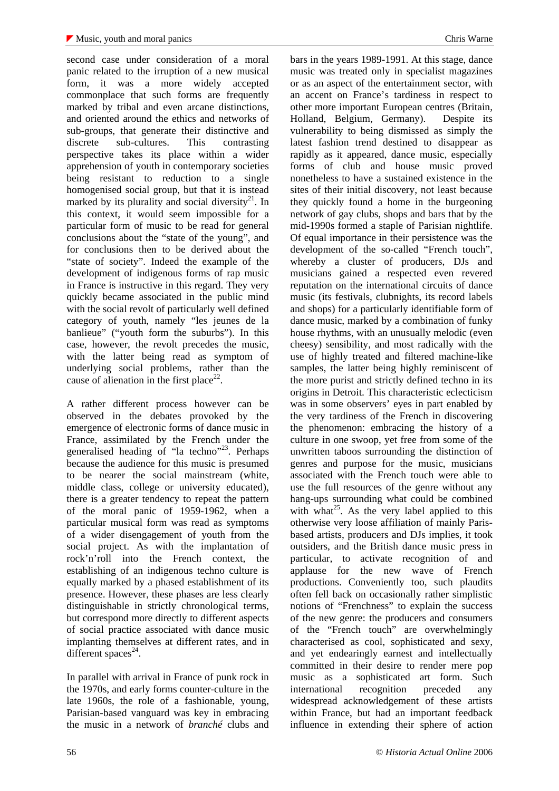second case under consideration of a moral panic related to the irruption of a new musical form, it was a more widely accepted commonplace that such forms are frequently marked by tribal and even arcane distinctions, and oriented around the ethics and networks of sub-groups, that generate their distinctive and discrete sub-cultures. This contrasting perspective takes its place within a wider apprehension of youth in contemporary societies being resistant to reduction to a single homogenised social group, but that it is instead marked by its plurality and social diversity<sup>21</sup>. In this context, it would seem impossible for a particular form of music to be read for general conclusions about the "state of the young", and for conclusions then to be derived about the "state of society". Indeed the example of the development of indigenous forms of rap music in France is instructive in this regard. They very quickly became associated in the public mind with the social revolt of particularly well defined category of youth, namely "les jeunes de la banlieue" ("youth form the suburbs"). In this case, however, the revolt precedes the music, with the latter being read as symptom of underlying social problems, rather than the cause of alienation in the first place<sup>22</sup>.

A rather different process however can be observed in the debates provoked by the emergence of electronic forms of dance music in France, assimilated by the French under the generalised heading of "la techno"<sup>23</sup>. Perhaps because the audience for this music is presumed to be nearer the social mainstream (white, middle class, college or university educated), there is a greater tendency to repeat the pattern of the moral panic of 1959-1962, when a particular musical form was read as symptoms of a wider disengagement of youth from the social project. As with the implantation of rock'n'roll into the French context, the establishing of an indigenous techno culture is equally marked by a phased establishment of its presence. However, these phases are less clearly distinguishable in strictly chronological terms, but correspond more directly to different aspects of social practice associated with dance music implanting themselves at different rates, and in different spaces $^{24}$ .

In parallel with arrival in France of punk rock in the 1970s, and early forms counter-culture in the late 1960s, the role of a fashionable, young, Parisian-based vanguard was key in embracing the music in a network of *branché* clubs and

bars in the years 1989-1991. At this stage, dance music was treated only in specialist magazines or as an aspect of the entertainment sector, with an accent on France's tardiness in respect to other more important European centres (Britain, Holland, Belgium, Germany). Despite its vulnerability to being dismissed as simply the latest fashion trend destined to disappear as rapidly as it appeared, dance music, especially forms of club and house music proved nonetheless to have a sustained existence in the sites of their initial discovery, not least because they quickly found a home in the burgeoning network of gay clubs, shops and bars that by the mid-1990s formed a staple of Parisian nightlife. Of equal importance in their persistence was the development of the so-called "French touch", whereby a cluster of producers, DJs and musicians gained a respected even revered reputation on the international circuits of dance music (its festivals, clubnights, its record labels and shops) for a particularly identifiable form of dance music, marked by a combination of funky house rhythms, with an unusually melodic (even cheesy) sensibility, and most radically with the use of highly treated and filtered machine-like samples, the latter being highly reminiscent of the more purist and strictly defined techno in its origins in Detroit. This characteristic eclecticism was in some observers' eyes in part enabled by the very tardiness of the French in discovering the phenomenon: embracing the history of a culture in one swoop, yet free from some of the unwritten taboos surrounding the distinction of genres and purpose for the music, musicians associated with the French touch were able to use the full resources of the genre without any hang-ups surrounding what could be combined with what<sup>25</sup>. As the very label applied to this otherwise very loose affiliation of mainly Parisbased artists, producers and DJs implies, it took outsiders, and the British dance music press in particular, to activate recognition of and applause for the new wave of French productions. Conveniently too, such plaudits often fell back on occasionally rather simplistic notions of "Frenchness" to explain the success of the new genre: the producers and consumers of the "French touch" are overwhelmingly characterised as cool, sophisticated and sexy, and yet endearingly earnest and intellectually committed in their desire to render mere pop music as a sophisticated art form. Such international recognition preceded any widespread acknowledgement of these artists within France, but had an important feedback influence in extending their sphere of action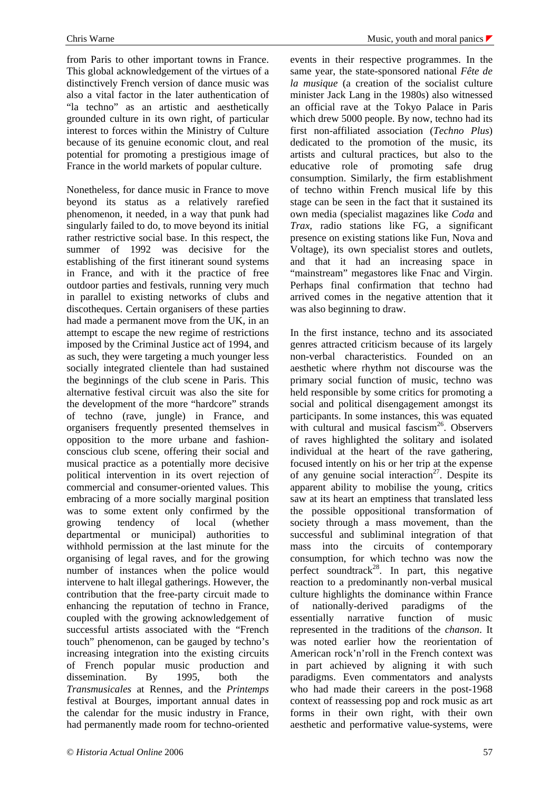from Paris to other important towns in France. This global acknowledgement of the virtues of a distinctively French version of dance music was also a vital factor in the later authentication of "la techno" as an artistic and aesthetically grounded culture in its own right, of particular interest to forces within the Ministry of Culture because of its genuine economic clout, and real potential for promoting a prestigious image of France in the world markets of popular culture.

Nonetheless, for dance music in France to move beyond its status as a relatively rarefied phenomenon, it needed, in a way that punk had singularly failed to do, to move beyond its initial rather restrictive social base. In this respect, the summer of 1992 was decisive for the establishing of the first itinerant sound systems in France, and with it the practice of free outdoor parties and festivals, running very much in parallel to existing networks of clubs and discotheques. Certain organisers of these parties had made a permanent move from the UK, in an attempt to escape the new regime of restrictions imposed by the Criminal Justice act of 1994, and as such, they were targeting a much younger less socially integrated clientele than had sustained the beginnings of the club scene in Paris. This alternative festival circuit was also the site for the development of the more "hardcore" strands of techno (rave, jungle) in France, and organisers frequently presented themselves in opposition to the more urbane and fashionconscious club scene, offering their social and musical practice as a potentially more decisive political intervention in its overt rejection of commercial and consumer-oriented values. This embracing of a more socially marginal position was to some extent only confirmed by the growing tendency of local (whether departmental or municipal) authorities to withhold permission at the last minute for the organising of legal raves, and for the growing number of instances when the police would intervene to halt illegal gatherings. However, the contribution that the free-party circuit made to enhancing the reputation of techno in France, coupled with the growing acknowledgement of successful artists associated with the "French touch" phenomenon, can be gauged by techno's increasing integration into the existing circuits of French popular music production and dissemination. By 1995, both the *Transmusicales* at Rennes, and the *Printemps* festival at Bourges, important annual dates in the calendar for the music industry in France, had permanently made room for techno-oriented

events in their respective programmes. In the same year, the state-sponsored national *Fête de la musique* (a creation of the socialist culture minister Jack Lang in the 1980s) also witnessed an official rave at the Tokyo Palace in Paris which drew 5000 people. By now, techno had its first non-affiliated association (*Techno Plus*) dedicated to the promotion of the music, its artists and cultural practices, but also to the educative role of promoting safe drug consumption. Similarly, the firm establishment of techno within French musical life by this stage can be seen in the fact that it sustained its own media (specialist magazines like *Coda* and *Trax*, radio stations like FG, a significant presence on existing stations like Fun, Nova and Voltage), its own specialist stores and outlets, and that it had an increasing space in "mainstream" megastores like Fnac and Virgin. Perhaps final confirmation that techno had arrived comes in the negative attention that it was also beginning to draw.

In the first instance, techno and its associated genres attracted criticism because of its largely non-verbal characteristics. Founded on an aesthetic where rhythm not discourse was the primary social function of music, techno was held responsible by some critics for promoting a social and political disengagement amongst its participants. In some instances, this was equated with cultural and musical fascism<sup>26</sup>. Observers of raves highlighted the solitary and isolated individual at the heart of the rave gathering, focused intently on his or her trip at the expense of any genuine social interaction<sup>27</sup>. Despite its apparent ability to mobilise the young, critics saw at its heart an emptiness that translated less the possible oppositional transformation of society through a mass movement, than the successful and subliminal integration of that mass into the circuits of contemporary consumption, for which techno was now the perfect soundtrack<sup>28</sup>. In part, this negative reaction to a predominantly non-verbal musical culture highlights the dominance within France of nationally-derived paradigms of the essentially narrative function of music represented in the traditions of the *chanson*. It was noted earlier how the reorientation of American rock'n'roll in the French context was in part achieved by aligning it with such paradigms. Even commentators and analysts who had made their careers in the post-1968 context of reassessing pop and rock music as art forms in their own right, with their own aesthetic and performative value-systems, were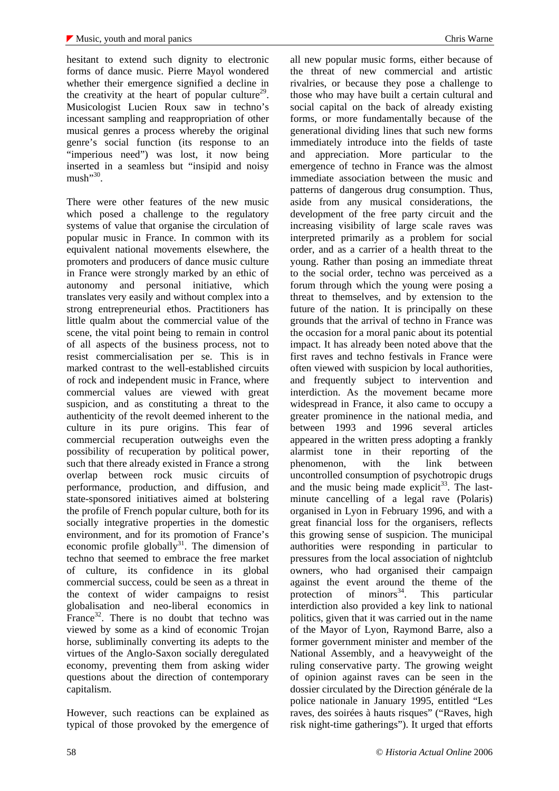hesitant to extend such dignity to electronic forms of dance music. Pierre Mayol wondered whether their emergence signified a decline in the creativity at the heart of popular culture<sup>29</sup>. Musicologist Lucien Roux saw in techno's incessant sampling and reappropriation of other musical genres a process whereby the original genre's social function (its response to an "imperious need") was lost, it now being inserted in a seamless but "insipid and noisy  ${\rm must}$ <sup> $^{,30}$ </sup>.

There were other features of the new music which posed a challenge to the regulatory systems of value that organise the circulation of popular music in France. In common with its equivalent national movements elsewhere, the promoters and producers of dance music culture in France were strongly marked by an ethic of autonomy and personal initiative, which translates very easily and without complex into a strong entrepreneurial ethos. Practitioners has little qualm about the commercial value of the scene, the vital point being to remain in control of all aspects of the business process, not to resist commercialisation per se. This is in marked contrast to the well-established circuits of rock and independent music in France, where commercial values are viewed with great suspicion, and as constituting a threat to the authenticity of the revolt deemed inherent to the culture in its pure origins. This fear of commercial recuperation outweighs even the possibility of recuperation by political power, such that there already existed in France a strong overlap between rock music circuits of performance, production, and diffusion, and state-sponsored initiatives aimed at bolstering the profile of French popular culture, both for its socially integrative properties in the domestic environment, and for its promotion of France's economic profile globally<sup>31</sup>. The dimension of techno that seemed to embrace the free market of culture, its confidence in its global commercial success, could be seen as a threat in the context of wider campaigns to resist globalisation and neo-liberal economics in France $32$ . There is no doubt that techno was viewed by some as a kind of economic Trojan horse, subliminally converting its adepts to the virtues of the Anglo-Saxon socially deregulated economy, preventing them from asking wider questions about the direction of contemporary capitalism.

However, such reactions can be explained as typical of those provoked by the emergence of

all new popular music forms, either because of the threat of new commercial and artistic rivalries, or because they pose a challenge to those who may have built a certain cultural and social capital on the back of already existing forms, or more fundamentally because of the generational dividing lines that such new forms immediately introduce into the fields of taste and appreciation. More particular to the emergence of techno in France was the almost immediate association between the music and patterns of dangerous drug consumption. Thus, aside from any musical considerations, the development of the free party circuit and the increasing visibility of large scale raves was interpreted primarily as a problem for social order, and as a carrier of a health threat to the young. Rather than posing an immediate threat to the social order, techno was perceived as a forum through which the young were posing a threat to themselves, and by extension to the future of the nation. It is principally on these grounds that the arrival of techno in France was the occasion for a moral panic about its potential impact. It has already been noted above that the first raves and techno festivals in France were often viewed with suspicion by local authorities, and frequently subject to intervention and interdiction. As the movement became more widespread in France, it also came to occupy a greater prominence in the national media, and between 1993 and 1996 several articles appeared in the written press adopting a frankly alarmist tone in their reporting of the phenomenon, with the link between uncontrolled consumption of psychotropic drugs and the music being made explicit<sup>33</sup>. The lastminute cancelling of a legal rave (Polaris) organised in Lyon in February 1996, and with a great financial loss for the organisers, reflects this growing sense of suspicion. The municipal authorities were responding in particular to pressures from the local association of nightclub owners, who had organised their campaign against the event around the theme of the protection of minors<sup>34</sup>. This particular interdiction also provided a key link to national politics, given that it was carried out in the name of the Mayor of Lyon, Raymond Barre, also a former government minister and member of the National Assembly, and a heavyweight of the ruling conservative party. The growing weight of opinion against raves can be seen in the dossier circulated by the Direction générale de la police nationale in January 1995, entitled "Les raves, des soirées à hauts risques" ("Raves, high risk night-time gatherings"). It urged that efforts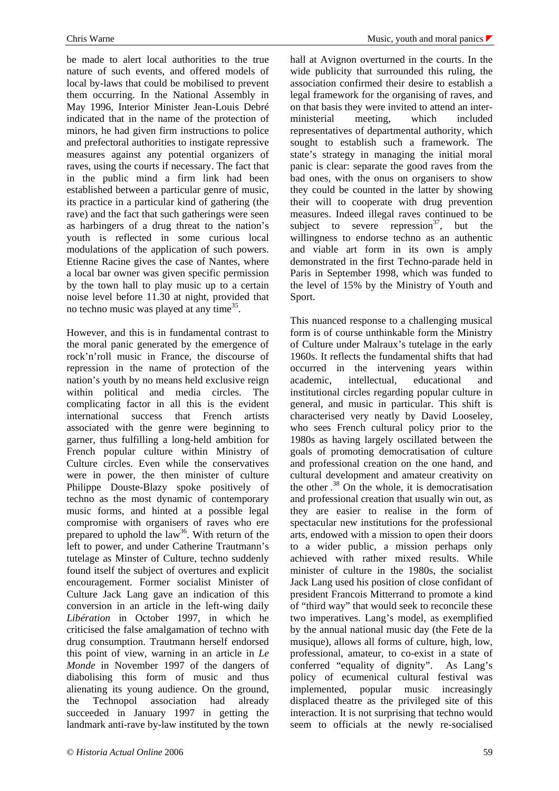be made to alert local authorities to the true nature of such events, and offered models of local by-laws that could be mobilised to prevent them occurring. In the National Assembly in May 1996, Interior Minister Jean-Louis Debré indicated that in the name of the protection of minors, he had given firm instructions to police and prefectoral authorities to instigate repressive measures against any potential organizers of raves, using the courts if necessary. The fact that in the public mind a firm link had been established between a particular genre of music, its practice in a particular kind of gathering (the rave) and the fact that such gatherings were seen as harbingers of a drug threat to the nation's youth is reflected in some curious local modulations of the application of such powers. Etienne Racine gives the case of Nantes, where a local bar owner was given specific permission by the town hall to play music up to a certain noise level before 11.30 at night, provided that no techno music was played at any time<sup>35</sup>.

However, and this is in fundamental contrast to the moral panic generated by the emergence of rock'n'roll music in France, the discourse of repression in the name of protection of the nation's youth by no means held exclusive reign within political and media circles. The complicating factor in all this is the evident international success that French artists associated with the genre were beginning to garner, thus fulfilling a long-held ambition for French popular culture within Ministry of Culture circles. Even while the conservatives were in power, the then minister of culture Philippe Douste-Blazy spoke positively of techno as the most dynamic of contemporary music forms, and hinted at a possible legal compromise with organisers of raves who ere prepared to uphold the law<sup>36</sup>. With return of the left to power, and under Catherine Trautmann's tutelage as Minster of Culture, techno suddenly found itself the subject of overtures and explicit encouragement. Former socialist Minister of Culture Jack Lang gave an indication of this conversion in an article in the left-wing daily *Libération* in October 1997, in which he criticised the false amalgamation of techno with drug consumption. Trautmann herself endorsed this point of view, warning in an article in *Le Monde* in November 1997 of the dangers of diabolising this form of music and thus alienating its young audience. On the ground, the Technopol association had already succeeded in January 1997 in getting the landmark anti-rave by-law instituted by the town

hall at Avignon overturned in the courts. In the wide publicity that surrounded this ruling, the association confirmed their desire to establish a legal framework for the organising of raves, and on that basis they were invited to attend an interministerial meeting, which included representatives of departmental authority, which sought to establish such a framework. The state's strategy in managing the initial moral panic is clear: separate the good raves from the bad ones, with the onus on organisers to show they could be counted in the latter by showing their will to cooperate with drug prevention measures. Indeed illegal raves continued to be subject to severe repression<sup>37</sup>, but the willingness to endorse techno as an authentic and viable art form in its own is amply demonstrated in the first Techno-parade held in Paris in September 1998, which was funded to the level of 15% by the Ministry of Youth and Sport.

This nuanced response to a challenging musical form is of course unthinkable form the Ministry of Culture under Malraux's tutelage in the early 1960s. It reflects the fundamental shifts that had occurred in the intervening years within academic, intellectual, educational and institutional circles regarding popular culture in general, and music in particular. This shift is characterised very neatly by David Looseley, who sees French cultural policy prior to the 1980s as having largely oscillated between the goals of promoting democratisation of culture and professional creation on the one hand, and cultural development and amateur creativity on the other . <sup>38</sup> On the whole, it is democratisation and professional creation that usually win out, as they are easier to realise in the form of spectacular new institutions for the professional arts, endowed with a mission to open their doors to a wider public, a mission perhaps only achieved with rather mixed results. While minister of culture in the 1980s, the socialist Jack Lang used his position of close confidant of president Francois Mitterrand to promote a kind of "third way" that would seek to reconcile these two imperatives. Lang's model, as exemplified by the annual national music day (the Fete de la musique), allows all forms of culture, high, low, professional, amateur, to co-exist in a state of conferred "equality of dignity". As Lang's policy of ecumenical cultural festival was implemented, popular music increasingly displaced theatre as the privileged site of this interaction. It is not surprising that techno would seem to officials at the newly re-socialised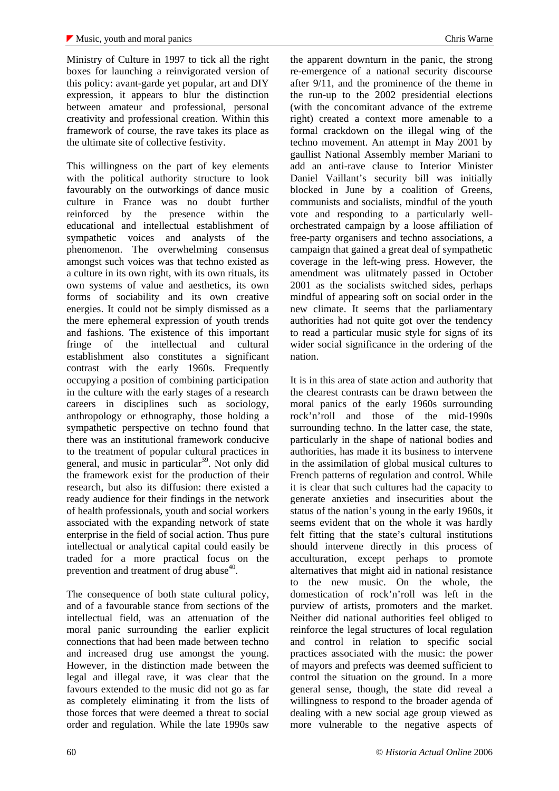Ministry of Culture in 1997 to tick all the right boxes for launching a reinvigorated version of this policy: avant-garde yet popular, art and DIY expression, it appears to blur the distinction between amateur and professional, personal creativity and professional creation. Within this framework of course, the rave takes its place as the ultimate site of collective festivity.

This willingness on the part of key elements with the political authority structure to look favourably on the outworkings of dance music culture in France was no doubt further reinforced by the presence within the educational and intellectual establishment of sympathetic voices and analysts of the phenomenon. The overwhelming consensus amongst such voices was that techno existed as a culture in its own right, with its own rituals, its own systems of value and aesthetics, its own forms of sociability and its own creative energies. It could not be simply dismissed as a the mere ephemeral expression of youth trends and fashions. The existence of this important fringe of the intellectual and cultural establishment also constitutes a significant contrast with the early 1960s. Frequently occupying a position of combining participation in the culture with the early stages of a research careers in disciplines such as sociology, anthropology or ethnography, those holding a sympathetic perspective on techno found that there was an institutional framework conducive to the treatment of popular cultural practices in general, and music in particular<sup>39</sup>. Not only did the framework exist for the production of their research, but also its diffusion: there existed a ready audience for their findings in the network of health professionals, youth and social workers associated with the expanding network of state enterprise in the field of social action. Thus pure intellectual or analytical capital could easily be traded for a more practical focus on the prevention and treatment of drug abuse $40$ .

The consequence of both state cultural policy, and of a favourable stance from sections of the intellectual field, was an attenuation of the moral panic surrounding the earlier explicit connections that had been made between techno and increased drug use amongst the young. However, in the distinction made between the legal and illegal rave, it was clear that the favours extended to the music did not go as far as completely eliminating it from the lists of those forces that were deemed a threat to social order and regulation. While the late 1990s saw

the apparent downturn in the panic, the strong re-emergence of a national security discourse after 9/11, and the prominence of the theme in the run-up to the 2002 presidential elections (with the concomitant advance of the extreme right) created a context more amenable to a formal crackdown on the illegal wing of the techno movement. An attempt in May 2001 by gaullist National Assembly member Mariani to add an anti-rave clause to Interior Minister Daniel Vaillant's security bill was initially blocked in June by a coalition of Greens, communists and socialists, mindful of the youth vote and responding to a particularly wellorchestrated campaign by a loose affiliation of free-party organisers and techno associations, a campaign that gained a great deal of sympathetic coverage in the left-wing press. However, the amendment was ulitmately passed in October 2001 as the socialists switched sides, perhaps mindful of appearing soft on social order in the new climate. It seems that the parliamentary authorities had not quite got over the tendency to read a particular music style for signs of its wider social significance in the ordering of the nation.

It is in this area of state action and authority that the clearest contrasts can be drawn between the moral panics of the early 1960s surrounding rock'n'roll and those of the mid-1990s surrounding techno. In the latter case, the state, particularly in the shape of national bodies and authorities, has made it its business to intervene in the assimilation of global musical cultures to French patterns of regulation and control. While it is clear that such cultures had the capacity to generate anxieties and insecurities about the status of the nation's young in the early 1960s, it seems evident that on the whole it was hardly felt fitting that the state's cultural institutions should intervene directly in this process of acculturation, except perhaps to promote alternatives that might aid in national resistance to the new music. On the whole, the domestication of rock'n'roll was left in the purview of artists, promoters and the market. Neither did national authorities feel obliged to reinforce the legal structures of local regulation and control in relation to specific social practices associated with the music: the power of mayors and prefects was deemed sufficient to control the situation on the ground. In a more general sense, though, the state did reveal a willingness to respond to the broader agenda of dealing with a new social age group viewed as more vulnerable to the negative aspects of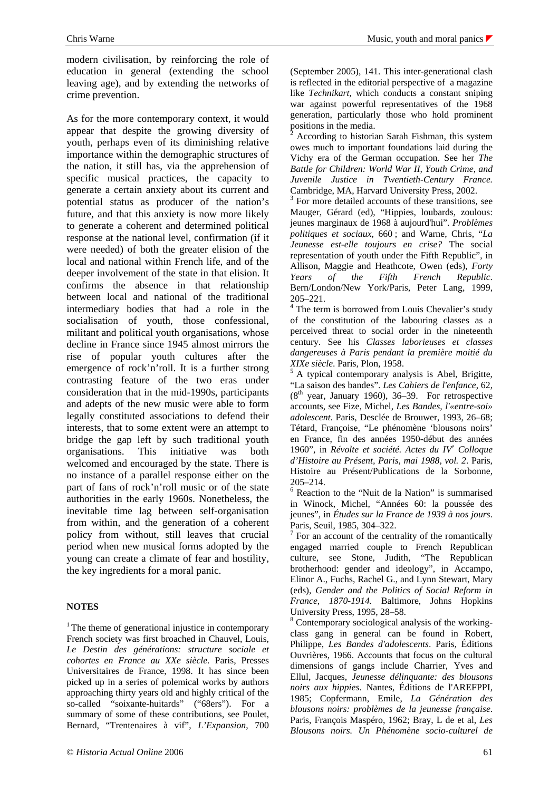modern civilisation, by reinforcing the role of education in general (extending the school leaving age), and by extending the networks of crime prevention.

As for the more contemporary context, it would appear that despite the growing diversity of youth, perhaps even of its diminishing relative importance within the demographic structures of the nation, it still has, via the apprehension of specific musical practices, the capacity to generate a certain anxiety about its current and potential status as producer of the nation's future, and that this anxiety is now more likely to generate a coherent and determined political response at the national level, confirmation (if it were needed) of both the greater elision of the local and national within French life, and of the deeper involvement of the state in that elision. It confirms the absence in that relationship between local and national of the traditional intermediary bodies that had a role in the socialisation of youth, those confessional, militant and political youth organisations, whose decline in France since 1945 almost mirrors the rise of popular youth cultures after the emergence of rock'n'roll. It is a further strong contrasting feature of the two eras under consideration that in the mid-1990s, participants and adepts of the new music were able to form legally constituted associations to defend their interests, that to some extent were an attempt to bridge the gap left by such traditional youth organisations. This initiative was both welcomed and encouraged by the state. There is no instance of a parallel response either on the part of fans of rock'n'roll music or of the state authorities in the early 1960s. Nonetheless, the inevitable time lag between self-organisation from within, and the generation of a coherent policy from without, still leaves that crucial period when new musical forms adopted by the young can create a climate of fear and hostility, the key ingredients for a moral panic.

## **NOTES**

 $<sup>1</sup>$  The theme of generational injustice in contemporary</sup> French society was first broached in Chauvel, Louis, *Le Destin des générations: structure sociale et cohortes en France au XXe siècle*. Paris, Presses Universitaires de France, 1998. It has since been picked up in a series of polemical works by authors approaching thirty years old and highly critical of the so-called "soixante-huitards" ("68ers"). For a summary of some of these contributions, see Poulet, Bernard, "Trentenaires à vif", *L'Expansion*, 700

(September 2005), 141. This inter-generational clash is reflected in the editorial perspective of a magazine like *Technikart*, which conducts a constant sniping war against powerful representatives of the 1968 generation, particularly those who hold prominent positions in the media.

 $\bar{2}$  According to historian Sarah Fishman, this system owes much to important foundations laid during the Vichy era of the German occupation. See her *The Battle for Children: World War II, Youth Crime, and Juvenile Justice in Twentieth-Century France.* Cambridge, MA, Harvard University Press, 2002.

<sup>3</sup> For more detailed accounts of these transitions, see Mauger, Gérard (ed), "Hippies, loubards, zoulous: jeunes marginaux de 1968 à aujourd'hui". *Problèmes politiques et sociaux*, 660 ; and Warne, Chris, "*La Jeunesse est-elle toujours en crise?* The social representation of youth under the Fifth Republic", in Allison, Maggie and Heathcote, Owen (eds), *Forty Years of the Fifth French Republic*. Bern/London/New York/Paris, Peter Lang, 1999, 205–221.

<sup>4</sup> The term is borrowed from Louis Chevalier's study of the constitution of the labouring classes as a perceived threat to social order in the nineteenth century. See his *Classes laborieuses et classes dangereuses à Paris pendant la première moitié du XIXe siècle*. Paris, Plon, 1958.

 $<sup>5</sup>$  A typical contemporary analysis is Abel, Brigitte,</sup> "La saison des bandes". *Les Cahiers de l'enfance*, 62,  $(8<sup>th</sup>$  year, January 1960), 36–39. For retrospective accounts, see Fize, Michel, *Les Bandes, l'«entre-soi» adolescent*. Paris, Desclée de Brouwer, 1993, 26–68; Tétard, Françoise, "Le phénomène 'blousons noirs' en France, fin des années 1950-début des années 1960", in *Révolte et société. Actes du IV<sup>e</sup> Colloque d'Histoire au Présent, Paris, mai 1988, vol. 2*. Paris, Histoire au Présent/Publications de la Sorbonne, 205–214.

6 Reaction to the "Nuit de la Nation" is summarised in Winock, Michel, "Années 60: la poussée des jeunes", in *Études sur la France de 1939 à nos jours*. Paris, Seuil, 1985, 304–322.

 $7$  For an account of the centrality of the romantically engaged married couple to French Republican culture, see Stone, Judith, "The Republican brotherhood: gender and ideology", in Accampo, Elinor A., Fuchs, Rachel G., and Lynn Stewart, Mary (eds), *Gender and the Politics of Social Reform in France, 1870-1914.* Baltimore, Johns Hopkins University Press, 1995, 28–58.

<sup>8</sup> Contemporary sociological analysis of the workingclass gang in general can be found in Robert, Philippe, *Les Bandes d'adolescents*. Paris, Éditions Ouvrières, 1966. Accounts that focus on the cultural dimensions of gangs include Charrier, Yves and Ellul, Jacques, *Jeunesse délinquante: des blousons noirs aux hippies*. Nantes, Éditions de l'AREFPPI, 1985; Copfermann, Emile, *La Génération des blousons noirs: problèmes de la jeunesse française*. Paris, François Maspéro, 1962; Bray, L de et al, *Les Blousons noirs. Un Phénomène socio-culturel de*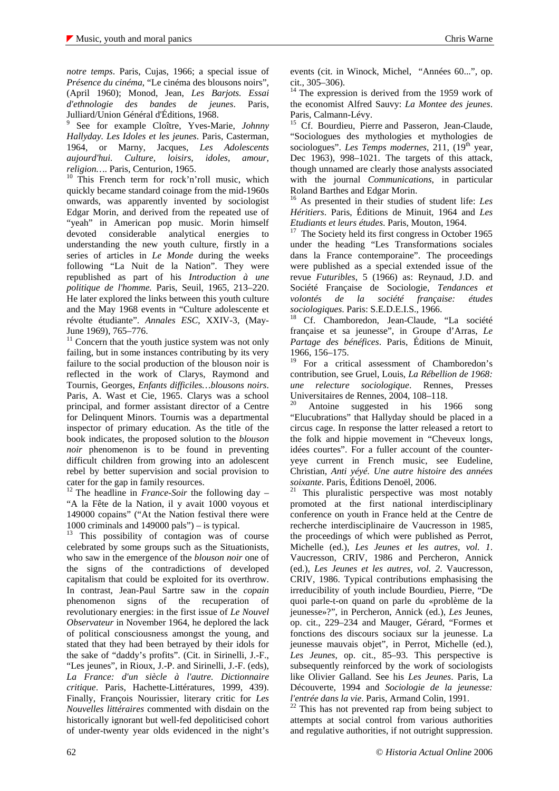*notre temps*. Paris, Cujas, 1966; a special issue of *Présence du cinéma*, "Le cinéma des blousons noirs", (April 1960); Monod, Jean, *Les Barjots. Essai d'ethnologie des bandes de jeunes*. Paris, Julliard/Union Général d'Éditions, 1968.

9 See for example Cloître, Yves-Marie, *Johnny Hallyday. Les Idoles et les jeunes*. Paris, Casterman, 1964, or Marny, Jacques, *Les Adolescents aujourd'hui. Culture, loisirs, idoles, amour, religion…*. Paris, Centurion, 1965.

<sup>10</sup> This French term for rock'n'roll music, which quickly became standard coinage from the mid-1960s onwards, was apparently invented by sociologist Edgar Morin, and derived from the repeated use of "yeah" in American pop music. Morin himself devoted considerable analytical energies to understanding the new youth culture, firstly in a series of articles in *Le Monde* during the weeks following "La Nuit de la Nation". They were republished as part of his *Introduction à une politique de l'homme.* Paris, Seuil, 1965, 213–220. He later explored the links between this youth culture and the May 1968 events in "Culture adolescente et révolte étudiante". *Annales ESC*, XXIV-3, (May-June 1969), 765–776.

 $11$  Concern that the youth justice system was not only failing, but in some instances contributing by its very failure to the social production of the blouson noir is reflected in the work of Clarys, Raymond and Tournis, Georges, *Enfants difficiles…blousons noirs*. Paris, A. Wast et Cie, 1965. Clarys was a school principal, and former assistant director of a Centre for Delinquent Minors. Tournis was a departmental inspector of primary education. As the title of the book indicates, the proposed solution to the *blouson noir* phenomenon is to be found in preventing difficult children from growing into an adolescent rebel by better supervision and social provision to cater for the gap in family resources.

<sup>12</sup> The headline in *France-Soir* the following day – "A la Fête de la Nation, il y avait 1000 voyous et 149000 copains" ("At the Nation festival there were 1000 criminals and 149000 pals" $)$  – is typical.

<sup>13</sup> This possibility of contagion was of course celebrated by some groups such as the Situationists, who saw in the emergence of the *blouson noir* one of the signs of the contradictions of developed capitalism that could be exploited for its overthrow. In contrast, Jean-Paul Sartre saw in the *copain* phenomenon signs of the recuperation of revolutionary energies: in the first issue of *Le Nouvel Observateur* in November 1964, he deplored the lack of political consciousness amongst the young, and stated that they had been betrayed by their idols for the sake of "daddy's profits". (Cit. in Sirinelli, J.-F., "Les jeunes", in Rioux, J.-P. and Sirinelli, J.-F. (eds), *La France: d'un siècle à l'autre. Dictionnaire critique*. Paris, Hachette-Littératures, 1999, 439). Finally, François Nourissier, literary critic for *Les Nouvelles littéraires* commented with disdain on the historically ignorant but well-fed depoliticised cohort of under-twenty year olds evidenced in the night's

events (cit. in Winock, Michel, "Années 60...", op. cit., 305–306).

 $14$  The expression is derived from the 1959 work of the economist Alfred Sauvy: *La Montee des jeunes*. Paris, Calmann-Lévy.

<sup>15</sup> Cf. Bourdieu, Pierre and Passeron, Jean-Claude, "Sociologues des mythologies et mythologies de sociologues". *Les Temps modernes*, 211, (19<sup>th</sup> year, Dec 1963), 998–1021. The targets of this attack, though unnamed are clearly those analysts associated with the journal *Communications*, in particular Roland Barthes and Edgar Morin.

<sup>16</sup> As presented in their studies of student life: *Les Héritiers*. Paris, Éditions de Minuit, 1964 and *Les Etudiants et leurs études*. Paris, Mouton, 1964.

 $17$  The Society held its first congress in October 1965 under the heading "Les Transformations sociales dans la France contemporaine". The proceedings were published as a special extended issue of the revue *Futuribles*, 5 (1966) as: Reynaud, J.D. and Société Française de Sociologie, *Tendances et volontés de la société française: études sociologiques*. Paris: S.E.D.E.I.S., 1966.

<sup>18</sup> Cf. Chamboredon, Jean-Claude, "La société française et sa jeunesse", in Groupe d'Arras, *Le Partage des bénéfices*. Paris, Éditions de Minuit, 1966, 156–175.

<sup>19</sup> For a critical assessment of Chamboredon's contribution, see Gruel, Louis, *La Rébellion de 1968: une relecture sociologique*. Rennes, Presses Universitaires de Rennes, 2004, 108–118.

Antoine suggested in his 1966 song "Elucubrations" that Hallyday should be placed in a circus cage. In response the latter released a retort to the folk and hippie movement in "Cheveux longs, idées courtes". For a fuller account of the counteryeye current in French music, see Eudeline, Christian, *Anti yéyé. Une autre histoire des années soixante*. Paris, Éditions Denoël, 2006.

 $21$  This pluralistic perspective was most notably promoted at the first national interdisciplinary conference on youth in France held at the Centre de recherche interdisciplinaire de Vaucresson in 1985, the proceedings of which were published as Perrot, Michelle (ed.), *Les Jeunes et les autres, vol. 1*. Vaucresson, CRIV, 1986 and Percheron, Annick (ed.), *Les Jeunes et les autres, vol. 2*. Vaucresson, CRIV, 1986. Typical contributions emphasising the irreducibility of youth include Bourdieu, Pierre, "De quoi parle-t-on quand on parle du «problème de la jeunesse»?", in Percheron, Annick (ed.), *Les* Jeunes, op. cit., 229–234 and Mauger, Gérard, "Formes et fonctions des discours sociaux sur la jeunesse. La jeunesse mauvais objet", in Perrot, Michelle (ed.), *Les Jeunes*, op. cit., 85–93. This perspective is subsequently reinforced by the work of sociologists like Olivier Galland. See his *Les Jeunes*. Paris, La Découverte, 1994 and *Sociologie de la jeunesse: l'entrée dans la vie*. Paris, Armand Colin, 1991.

 $22$  This has not prevented rap from being subject to attempts at social control from various authorities and regulative authorities, if not outright suppression.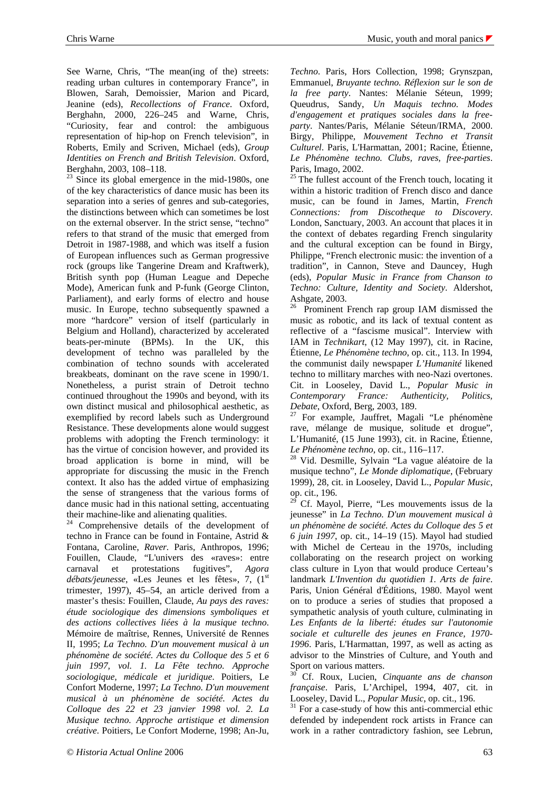See Warne, Chris, "The mean(ing of the) streets: reading urban cultures in contemporary France", in Blowen, Sarah, Demoissier, Marion and Picard, Jeanine (eds), *Recollections of France*. Oxford, Berghahn, 2000, 226–245 and Warne, Chris, "Curiosity, fear and control: the ambiguous representation of hip-hop on French television", in Roberts, Emily and Scriven, Michael (eds), *Group Identities on French and British Television*. Oxford, Berghahn, 2003, 108–118.

 $23$  Since its global emergence in the mid-1980s, one of the key characteristics of dance music has been its separation into a series of genres and sub-categories, the distinctions between which can sometimes be lost on the external observer. In the strict sense, "techno" refers to that strand of the music that emerged from Detroit in 1987-1988, and which was itself a fusion of European influences such as German progressive rock (groups like Tangerine Dream and Kraftwerk), British synth pop (Human League and Depeche Mode), American funk and P-funk (George Clinton, Parliament), and early forms of electro and house music. In Europe, techno subsequently spawned a more "hardcore" version of itself (particularly in Belgium and Holland), characterized by accelerated beats-per-minute (BPMs). In the UK, this development of techno was paralleled by the combination of techno sounds with accelerated breakbeats, dominant on the rave scene in 1990/1. Nonetheless, a purist strain of Detroit techno continued throughout the 1990s and beyond, with its own distinct musical and philosophical aesthetic, as exemplified by record labels such as Underground Resistance. These developments alone would suggest problems with adopting the French terminology: it has the virtue of concision however, and provided its broad application is borne in mind, will be appropriate for discussing the music in the French context. It also has the added virtue of emphasizing the sense of strangeness that the various forms of dance music had in this national setting, accentuating their machine-like and alienating qualities.

<sup>24</sup> Comprehensive details of the development of techno in France can be found in Fontaine, Astrid & Fontana, Caroline, *Raver.* Paris, Anthropos, 1996; Fouillen, Claude, "L'univers des «raves»: entre carnaval et protestations fugitives", *Agora*  débats/jeunesse, «Les Jeunes et les fêtes», 7, (1<sup>st</sup>) trimester, 1997), 45–54, an article derived from a master's thesis: Fouillen, Claude, *Au pays des raves: étude sociologique des dimensions symboliques et des actions collectives liées à la musique techno*. Mémoire de maîtrise, Rennes, Université de Rennes II, 1995; *La Techno. D'un mouvement musical à un phénomène de société. Actes du Colloque des 5 et 6 juin 1997, vol. 1. La Fête techno. Approche sociologique, médicale et juridique*. Poitiers, Le Confort Moderne, 1997; *La Techno. D'un mouvement musical à un phénomène de société. Actes du Colloque des 22 et 23 janvier 1998 vol. 2. La Musique techno. Approche artistique et dimension créative*. Poitiers, Le Confort Moderne, 1998; An-Ju,

*Techno*. Paris, Hors Collection, 1998; Grynszpan, Emmanuel, *Bruyante techno. Réflexion sur le son de la free party*. Nantes: Mélanie Séteun, 1999; Queudrus, Sandy, *Un Maquis techno. Modes d'engagement et pratiques sociales dans la freeparty*. Nantes/Paris, Mélanie Séteun/IRMA, 2000. Birgy, Philippe, *Mouvement Techno et Transit Culturel*. Paris, L'Harmattan, 2001; Racine, Étienne, *Le Phénomène techno. Clubs, raves, free-parties*. Paris, Imago, 2002.

 $25$  The fullest account of the French touch, locating it within a historic tradition of French disco and dance music, can be found in James, Martin, *French Connections: from Discotheque to Discovery*. London, Sanctuary, 2003. An account that places it in the context of debates regarding French singularity and the cultural exception can be found in Birgy, Philippe, "French electronic music: the invention of a tradition", in Cannon, Steve and Dauncey, Hugh (eds), *Popular Music in France from Chanson to Techno: Culture, Identity and Society*. Aldershot, Ashgate, 2003.

<sup>26</sup> Prominent French rap group IAM dismissed the music as robotic, and its lack of textual content as reflective of a "fascisme musical". Interview with IAM in *Technikart*, (12 May 1997), cit. in Racine, Étienne, *Le Phénomène techno*, op. cit., 113. In 1994, the communist daily newspaper *L'Humanité* likened techno to millitary marches with neo-Nazi overtones. Cit. in Looseley, David L., *Popular Music in Contemporary France: Authenticity, Politics, Debate*, Oxford, Berg, 2003, 189.

 $27$  For example, Jauffret, Magali "Le phénomène rave, mélange de musique, solitude et drogue", L'Humanité, (15 June 1993), cit. in Racine, Étienne, *Le Phénomène techno*, op. cit., 116–117.

<sup>28</sup> Vid. Desmille, Sylvain "La vague aléatoire de la musique techno", *Le Monde diplomatique*, (February 1999), 28, cit. in Looseley, David L., *Popular Music*, op. cit., 196.

 $2^{9}$  Cf. Mayol, Pierre, "Les mouvements issus de la jeunesse" in *La Techno. D'un mouvement musical à un phénomène de société. Actes du Colloque des 5 et 6 juin 1997*, op. cit., 14–19 (15). Mayol had studied with Michel de Certeau in the 1970s, including collaborating on the research project on working class culture in Lyon that would produce Certeau's landmark *L'Invention du quotidien 1. Arts de faire*. Paris, Union Général d'Éditions, 1980. Mayol went on to produce a series of studies that proposed a sympathetic analysis of youth culture, culminating in *Les Enfants de la liberté: études sur l'autonomie sociale et culturelle des jeunes en France, 1970- 1996*. Paris, L'Harmattan, 1997, as well as acting as advisor to the Minstries of Culture, and Youth and Sport on various matters.

<sup>30</sup> Cf. Roux, Lucien, *Cinquante ans de chanson française*. Paris, L'Archipel, 1994, 407, cit. in Looseley, David L., *Popular Music*, op. cit., 196.

<sup>31</sup> For a case-study of how this anti-commercial ethic defended by independent rock artists in France can work in a rather contradictory fashion, see Lebrun,